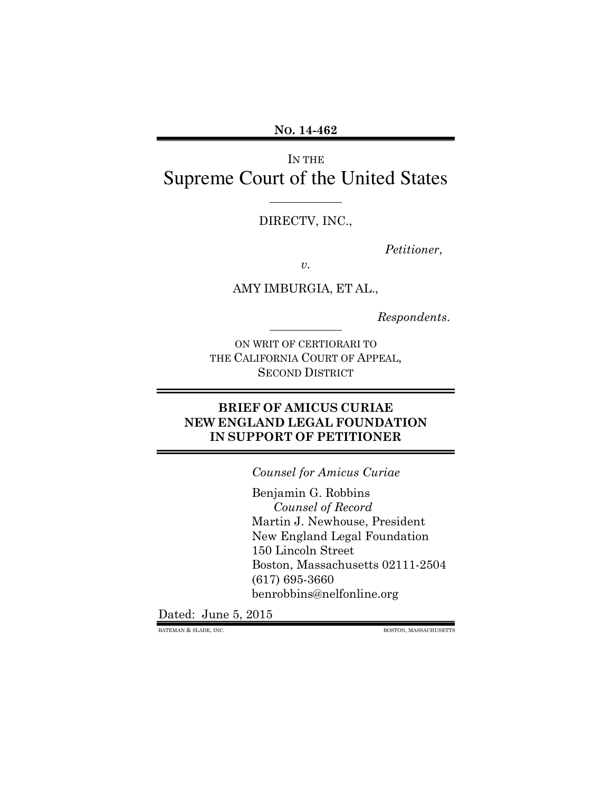**NO. 14-462** 

IN THE Supreme Court of the United States

DIRECTV, INC.,

 $\overline{a}$ 

 $\overline{a}$ 

*Petitioner*,

*v.* 

AMY IMBURGIA, ET AL.,

*Respondents*.

ON WRIT OF CERTIORARI TO THE CALIFORNIA COURT OF APPEAL, SECOND DISTRICT

### **BRIEF OF AMICUS CURIAE NEW ENGLAND LEGAL FOUNDATION IN SUPPORT OF PETITIONER**

*Counsel for Amicus Curiae* 

Benjamin G. Robbins *Counsel of Record*  Martin J. Newhouse, President New England Legal Foundation 150 Lincoln Street Boston, Massachusetts 02111-2504 (617) 695-3660 benrobbins@nelfonline.org

Dated: June 5, 2015

BATEMAN & SLADE, INC. BOSTON, MASSACHUSETTS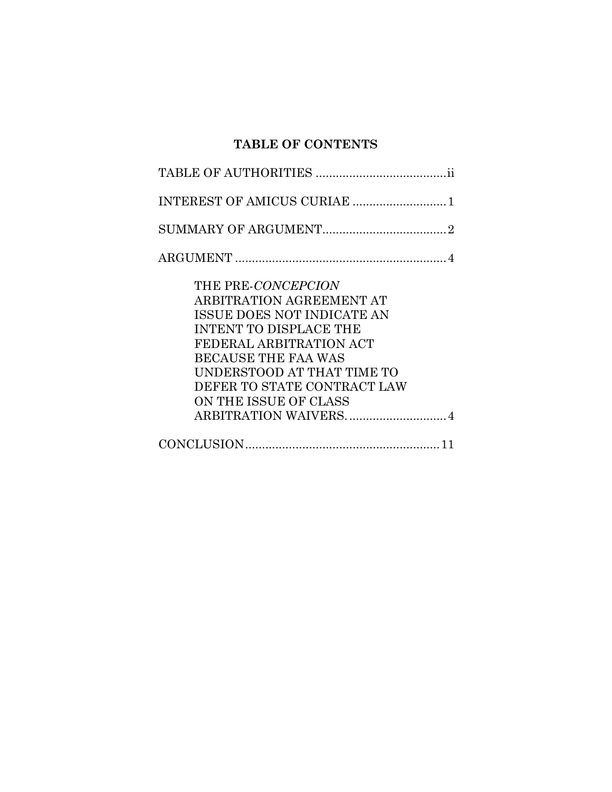# **TABLE OF CONTENTS**

| THE PRE-CONCEPCION            |
|-------------------------------|
| ARBITRATION AGREEMENT AT      |
| ISSUE DOES NOT INDICATE AN    |
| <b>INTENT TO DISPLACE THE</b> |
| FEDERAL ARBITRATION ACT       |
| <b>BECAUSE THE FAA WAS</b>    |
| UNDERSTOOD AT THAT TIME TO    |
| DEFER TO STATE CONTRACT LAW   |
| ON THE ISSUE OF CLASS         |
|                               |
|                               |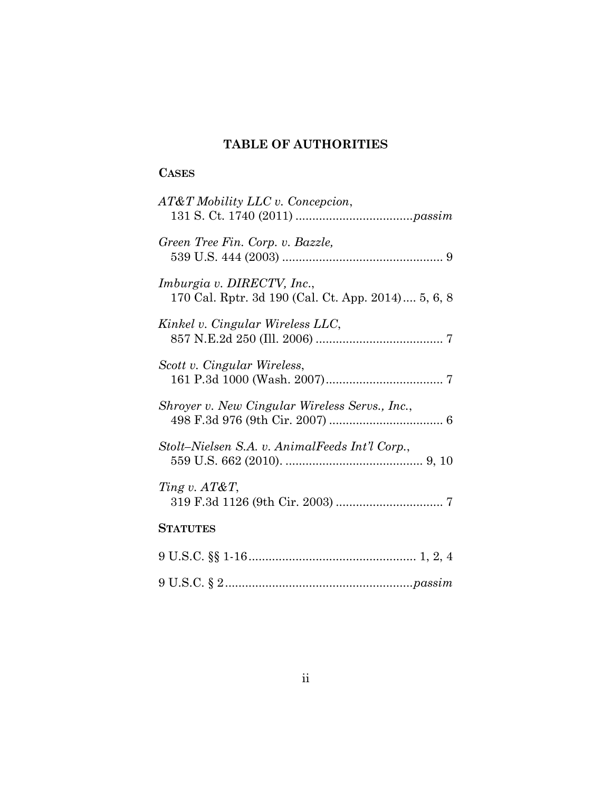## **TABLE OF AUTHORITIES**

### **CASES**

| AT&T Mobility LLC v. Concepcion,                                                        |
|-----------------------------------------------------------------------------------------|
| Green Tree Fin. Corp. v. Bazzle,                                                        |
| <i>Imburgia v. DIRECTV, Inc.,</i><br>170 Cal. Rptr. 3d 190 (Cal. Ct. App. 2014) 5, 6, 8 |
| Kinkel v. Cingular Wireless LLC,                                                        |
| Scott v. Cingular Wireless,                                                             |
| Shroyer v. New Cingular Wireless Servs., Inc.,                                          |
| Stolt–Nielsen S.A. v. AnimalFeeds Int'l Corp.,                                          |
| Ting v. AT&T,                                                                           |
| <b>STATUTES</b>                                                                         |
|                                                                                         |

9 U.S.C. § 2 ........................................................ *passim*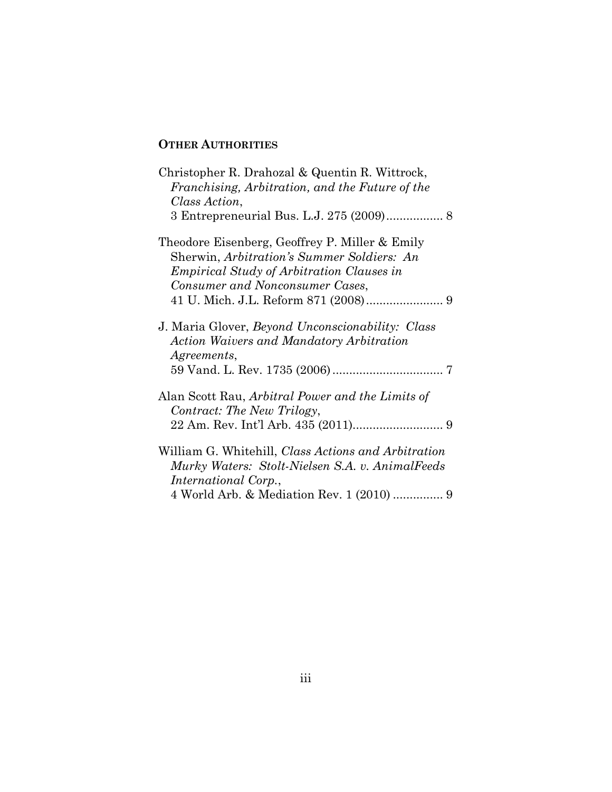### **OTHER AUTHORITIES**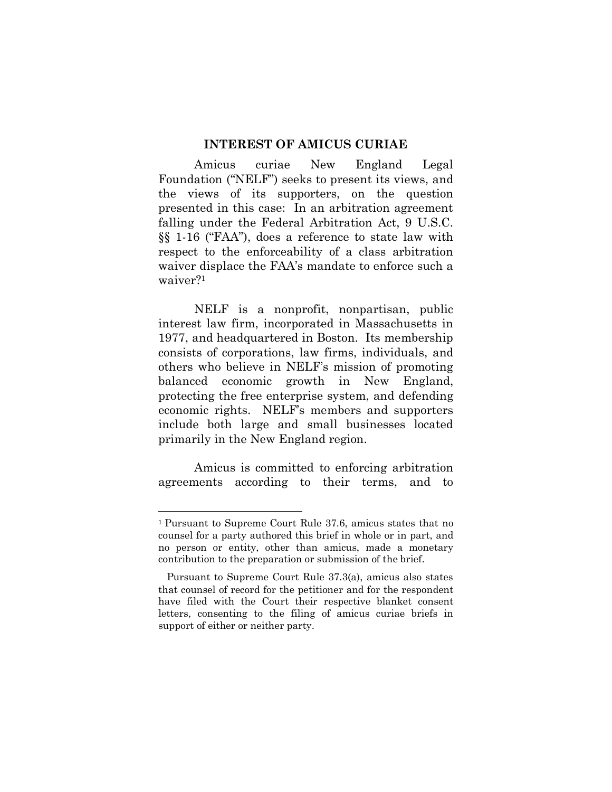#### **INTEREST OF AMICUS CURIAE**

 Amicus curiae New England Legal Foundation ("NELF") seeks to present its views, and the views of its supporters, on the question presented in this case: In an arbitration agreement falling under the Federal Arbitration Act, 9 U.S.C. §§ 1-16 ("FAA"), does a reference to state law with respect to the enforceability of a class arbitration waiver displace the FAA's mandate to enforce such a waiver?<sup>1</sup>

NELF is a nonprofit, nonpartisan, public interest law firm, incorporated in Massachusetts in 1977, and headquartered in Boston. Its membership consists of corporations, law firms, individuals, and others who believe in NELF's mission of promoting balanced economic growth in New England, protecting the free enterprise system, and defending economic rights. NELF's members and supporters include both large and small businesses located primarily in the New England region.

Amicus is committed to enforcing arbitration agreements according to their terms, and to

<sup>1</sup>Pursuant to Supreme Court Rule 37.6, amicus states that no counsel for a party authored this brief in whole or in part, and no person or entity, other than amicus, made a monetary contribution to the preparation or submission of the brief.

Pursuant to Supreme Court Rule 37.3(a), amicus also states that counsel of record for the petitioner and for the respondent have filed with the Court their respective blanket consent letters, consenting to the filing of amicus curiae briefs in support of either or neither party.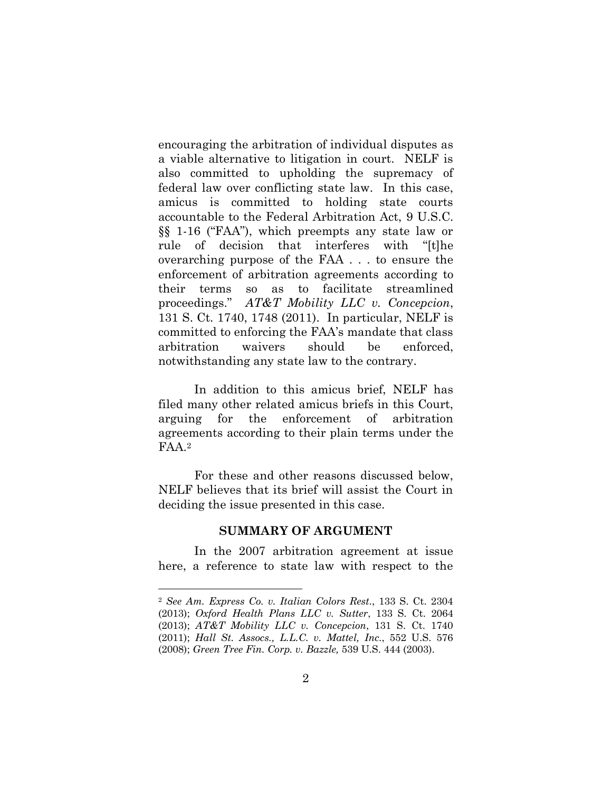encouraging the arbitration of individual disputes as a viable alternative to litigation in court. NELF is also committed to upholding the supremacy of federal law over conflicting state law. In this case, amicus is committed to holding state courts accountable to the Federal Arbitration Act, 9 U.S.C. §§ 1-16 ("FAA"), which preempts any state law or rule of decision that interferes with "[t]he overarching purpose of the FAA . . . to ensure the enforcement of arbitration agreements according to their terms so as to facilitate streamlined proceedings." *AT&T Mobility LLC v. Concepcion*, 131 S. Ct. 1740, 1748 (2011). In particular, NELF is committed to enforcing the FAA's mandate that class arbitration waivers should be enforced, notwithstanding any state law to the contrary.

In addition to this amicus brief, NELF has filed many other related amicus briefs in this Court, arguing for the enforcement of arbitration agreements according to their plain terms under the FAA.<sup>2</sup>

For these and other reasons discussed below, NELF believes that its brief will assist the Court in deciding the issue presented in this case.

#### **SUMMARY OF ARGUMENT**

In the 2007 arbitration agreement at issue here, a reference to state law with respect to the

<sup>2</sup> *See Am. Express Co. v. Italian Colors Rest.*, 133 S. Ct. 2304 (2013); *Oxford Health Plans LLC v. Sutter*, 133 S. Ct. 2064 (2013); *AT&T Mobility LLC v. Concepcion*, 131 S. Ct. 1740 (2011); *Hall St. Assocs., L.L.C. v. Mattel, Inc.*, 552 U.S. 576 (2008); *Green Tree Fin. Corp. v. Bazzle,* 539 U.S. 444 (2003).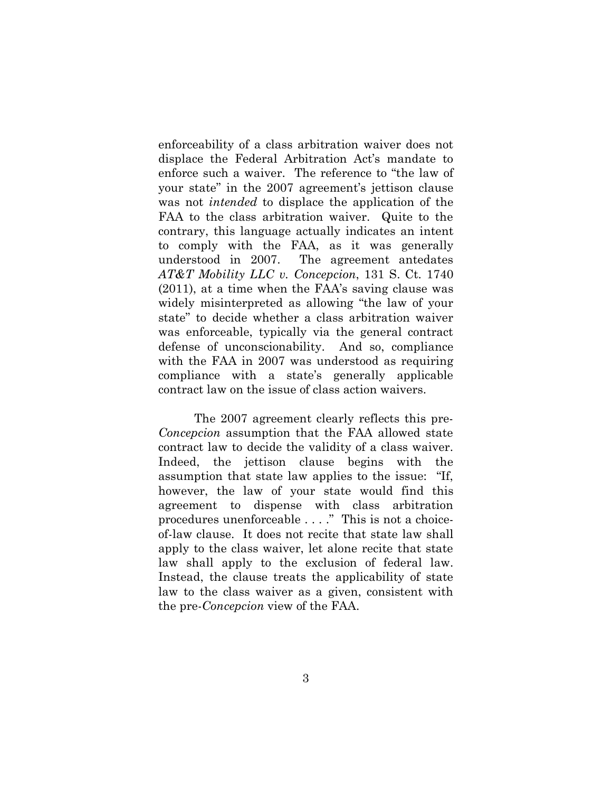enforceability of a class arbitration waiver does not displace the Federal Arbitration Act's mandate to enforce such a waiver. The reference to "the law of your state" in the 2007 agreement's jettison clause was not *intended* to displace the application of the FAA to the class arbitration waiver. Quite to the contrary, this language actually indicates an intent to comply with the FAA, as it was generally understood in 2007. The agreement antedates *AT&T Mobility LLC v. Concepcion*, 131 S. Ct. 1740 (2011), at a time when the FAA's saving clause was widely misinterpreted as allowing "the law of your state" to decide whether a class arbitration waiver was enforceable, typically via the general contract defense of unconscionability. And so, compliance with the FAA in 2007 was understood as requiring compliance with a state's generally applicable contract law on the issue of class action waivers.

The 2007 agreement clearly reflects this pre-*Concepcion* assumption that the FAA allowed state contract law to decide the validity of a class waiver. Indeed, the jettison clause begins with the assumption that state law applies to the issue: "If, however, the law of your state would find this agreement to dispense with class arbitration procedures unenforceable . . . ." This is not a choiceof-law clause. It does not recite that state law shall apply to the class waiver, let alone recite that state law shall apply to the exclusion of federal law. Instead, the clause treats the applicability of state law to the class waiver as a given, consistent with the pre-*Concepcion* view of the FAA.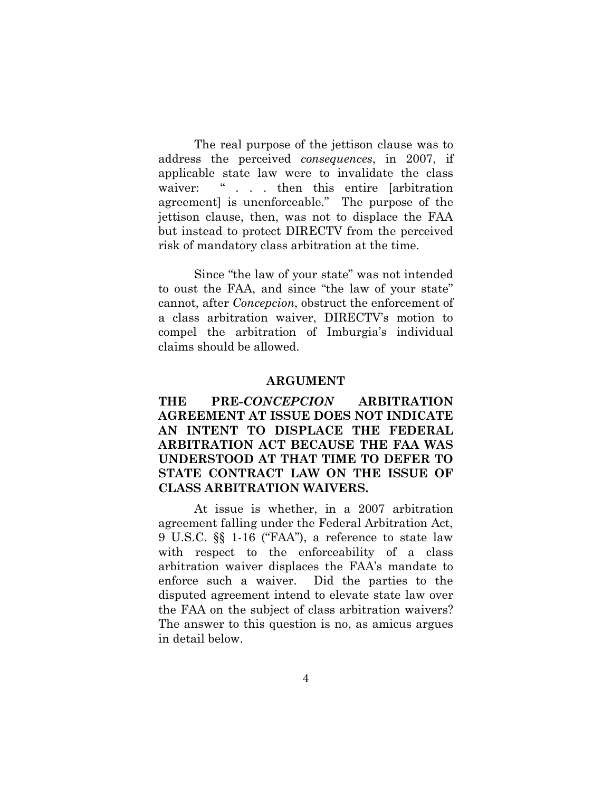The real purpose of the jettison clause was to address the perceived *consequences*, in 2007, if applicable state law were to invalidate the class waiver: " . . . then this entire [arbitration agreement] is unenforceable." The purpose of the jettison clause, then, was not to displace the FAA but instead to protect DIRECTV from the perceived risk of mandatory class arbitration at the time.

Since "the law of your state" was not intended to oust the FAA, and since "the law of your state" cannot, after *Concepcion*, obstruct the enforcement of a class arbitration waiver, DIRECTV's motion to compel the arbitration of Imburgia's individual claims should be allowed.

#### **ARGUMENT**

**THE PRE-***CONCEPCION* **ARBITRATION AGREEMENT AT ISSUE DOES NOT INDICATE AN INTENT TO DISPLACE THE FEDERAL ARBITRATION ACT BECAUSE THE FAA WAS UNDERSTOOD AT THAT TIME TO DEFER TO STATE CONTRACT LAW ON THE ISSUE OF CLASS ARBITRATION WAIVERS.** 

At issue is whether, in a 2007 arbitration agreement falling under the Federal Arbitration Act, 9 U.S.C. §§ 1-16 ("FAA"), a reference to state law with respect to the enforceability of a class arbitration waiver displaces the FAA's mandate to enforce such a waiver. Did the parties to the disputed agreement intend to elevate state law over the FAA on the subject of class arbitration waivers? The answer to this question is no, as amicus argues in detail below.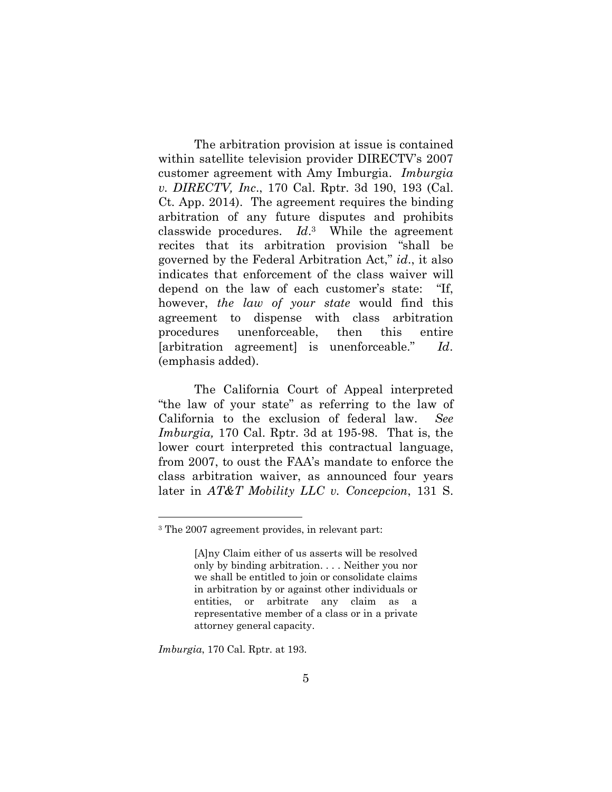The arbitration provision at issue is contained within satellite television provider DIRECTV's 2007 customer agreement with Amy Imburgia. *Imburgia v. DIRECTV, Inc*., 170 Cal. Rptr. 3d 190, 193 (Cal. Ct. App. 2014). The agreement requires the binding arbitration of any future disputes and prohibits classwide procedures. *Id*. <sup>3</sup> While the agreement recites that its arbitration provision "shall be governed by the Federal Arbitration Act," *id*., it also indicates that enforcement of the class waiver will depend on the law of each customer's state: "If, however, *the law of your state* would find this agreement to dispense with class arbitration procedures unenforceable, then this entire [arbitration agreement] is unenforceable." *Id*. (emphasis added).

The California Court of Appeal interpreted "the law of your state" as referring to the law of California to the exclusion of federal law. *See Imburgia,* 170 Cal. Rptr. 3d at 195-98. That is, the lower court interpreted this contractual language, from 2007, to oust the FAA's mandate to enforce the class arbitration waiver, as announced four years later in *AT&T Mobility LLC v. Concepcion*, 131 S.

*Imburgia*, 170 Cal. Rptr. at 193.

<sup>3</sup> The 2007 agreement provides, in relevant part:

<sup>[</sup>A]ny Claim either of us asserts will be resolved only by binding arbitration. . . . Neither you nor we shall be entitled to join or consolidate claims in arbitration by or against other individuals or entities, or arbitrate any claim as a representative member of a class or in a private attorney general capacity.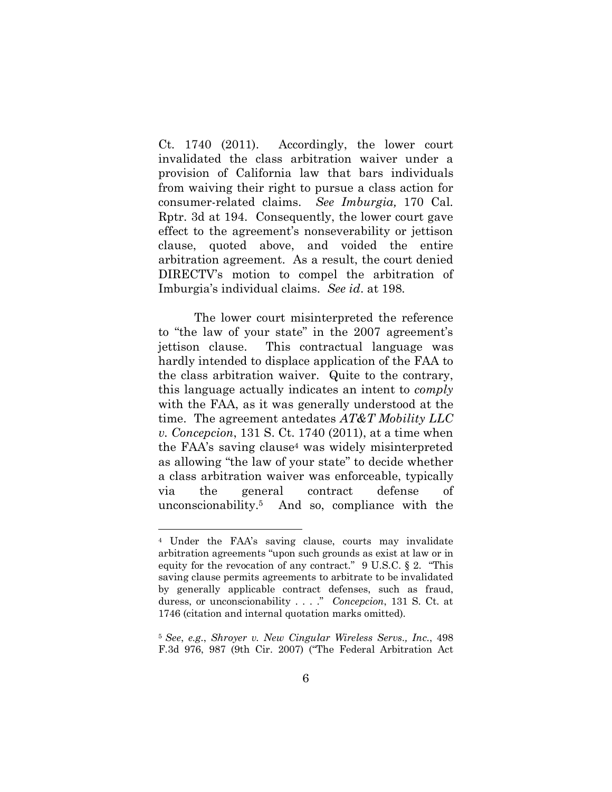Ct. 1740 (2011). Accordingly, the lower court invalidated the class arbitration waiver under a provision of California law that bars individuals from waiving their right to pursue a class action for consumer-related claims. *See Imburgia,* 170 Cal. Rptr. 3d at 194. Consequently, the lower court gave effect to the agreement's nonseverability or jettison clause, quoted above, and voided the entire arbitration agreement. As a result, the court denied DIRECTV's motion to compel the arbitration of Imburgia's individual claims. *See id*. at 198.

The lower court misinterpreted the reference to "the law of your state" in the 2007 agreement's jettison clause. This contractual language was hardly intended to displace application of the FAA to the class arbitration waiver. Quite to the contrary, this language actually indicates an intent to *comply* with the FAA, as it was generally understood at the time. The agreement antedates *AT&T Mobility LLC v. Concepcion*, 131 S. Ct. 1740 (2011), at a time when the FAA's saving clause4 was widely misinterpreted as allowing "the law of your state" to decide whether a class arbitration waiver was enforceable, typically via the general contract defense of unconscionability.5 And so, compliance with the

<sup>4</sup> Under the FAA's saving clause, courts may invalidate arbitration agreements "upon such grounds as exist at law or in equity for the revocation of any contract." 9 U.S.C. § 2. "This saving clause permits agreements to arbitrate to be invalidated by generally applicable contract defenses, such as fraud, duress, or unconscionability . . . ." *Concepcion*, 131 S. Ct. at 1746 (citation and internal quotation marks omitted).

<sup>5</sup>*See*, *e.g*., *Shroyer v. New Cingular Wireless Servs., Inc.*, 498 F.3d 976, 987 (9th Cir. 2007) ("The Federal Arbitration Act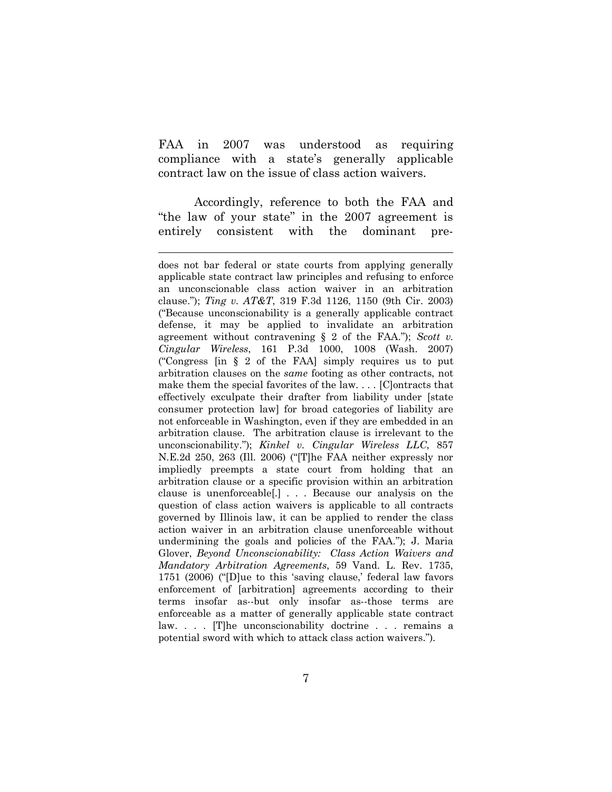FAA in 2007 was understood as requiring compliance with a state's generally applicable contract law on the issue of class action waivers.

Accordingly, reference to both the FAA and "the law of your state" in the 2007 agreement is entirely consistent with the dominant pre-

does not bar federal or state courts from applying generally applicable state contract law principles and refusing to enforce an unconscionable class action waiver in an arbitration clause."); *Ting v. AT&T*, 319 F.3d 1126, 1150 (9th Cir. 2003) ("Because unconscionability is a generally applicable contract defense, it may be applied to invalidate an arbitration agreement without contravening § 2 of the FAA."); *Scott v. Cingular Wireless*, 161 P.3d 1000, 1008 (Wash. 2007) ("Congress [in § 2 of the FAA] simply requires us to put arbitration clauses on the *same* footing as other contracts, not make them the special favorites of the law. . . . [C]ontracts that effectively exculpate their drafter from liability under [state consumer protection law] for broad categories of liability are not enforceable in Washington, even if they are embedded in an arbitration clause. The arbitration clause is irrelevant to the unconscionability."); *Kinkel v. Cingular Wireless LLC*, 857 N.E.2d 250, 263 (Ill. 2006) ("[T]he FAA neither expressly nor impliedly preempts a state court from holding that an arbitration clause or a specific provision within an arbitration clause is unenforceable[.] . . . Because our analysis on the question of class action waivers is applicable to all contracts governed by Illinois law, it can be applied to render the class action waiver in an arbitration clause unenforceable without undermining the goals and policies of the FAA."); J. Maria Glover, *Beyond Unconscionability: Class Action Waivers and Mandatory Arbitration Agreements*, 59 Vand. L. Rev. 1735, 1751 (2006) ("[D]ue to this 'saving clause,' federal law favors enforcement of [arbitration] agreements according to their terms insofar as--but only insofar as--those terms are enforceable as a matter of generally applicable state contract law. . . . [T]he unconscionability doctrine . . . remains a potential sword with which to attack class action waivers.").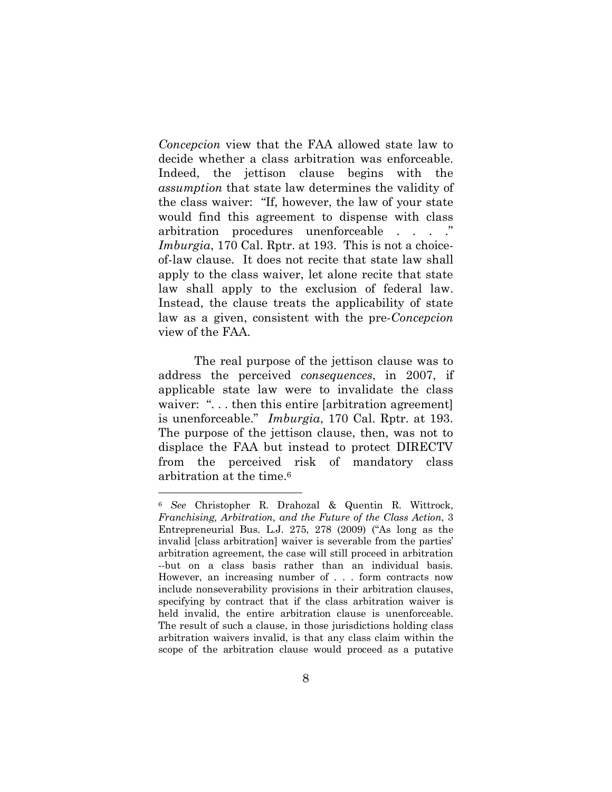*Concepcion* view that the FAA allowed state law to decide whether a class arbitration was enforceable. Indeed, the jettison clause begins with the *assumption* that state law determines the validity of the class waiver: "If, however, the law of your state would find this agreement to dispense with class arbitration procedures unenforceable . . . ." *Imburgia*, 170 Cal. Rptr. at 193. This is not a choiceof-law clause. It does not recite that state law shall apply to the class waiver, let alone recite that state law shall apply to the exclusion of federal law. Instead, the clause treats the applicability of state law as a given, consistent with the pre-*Concepcion* view of the FAA.

The real purpose of the jettison clause was to address the perceived *consequences*, in 2007, if applicable state law were to invalidate the class waiver: "... then this entire [arbitration agreement] is unenforceable." *Imburgia*, 170 Cal. Rptr. at 193. The purpose of the jettison clause, then, was not to displace the FAA but instead to protect DIRECTV from the perceived risk of mandatory class arbitration at the time.<sup>6</sup>

<sup>6</sup> *See* Christopher R. Drahozal & Quentin R. Wittrock, *Franchising, Arbitration, and the Future of the Class Action*, 3 Entrepreneurial Bus. L.J. 275, 278 (2009) ("As long as the invalid [class arbitration] waiver is severable from the parties' arbitration agreement, the case will still proceed in arbitration --but on a class basis rather than an individual basis. However, an increasing number of . . . form contracts now include nonseverability provisions in their arbitration clauses, specifying by contract that if the class arbitration waiver is held invalid, the entire arbitration clause is unenforceable. The result of such a clause, in those jurisdictions holding class arbitration waivers invalid, is that any class claim within the scope of the arbitration clause would proceed as a putative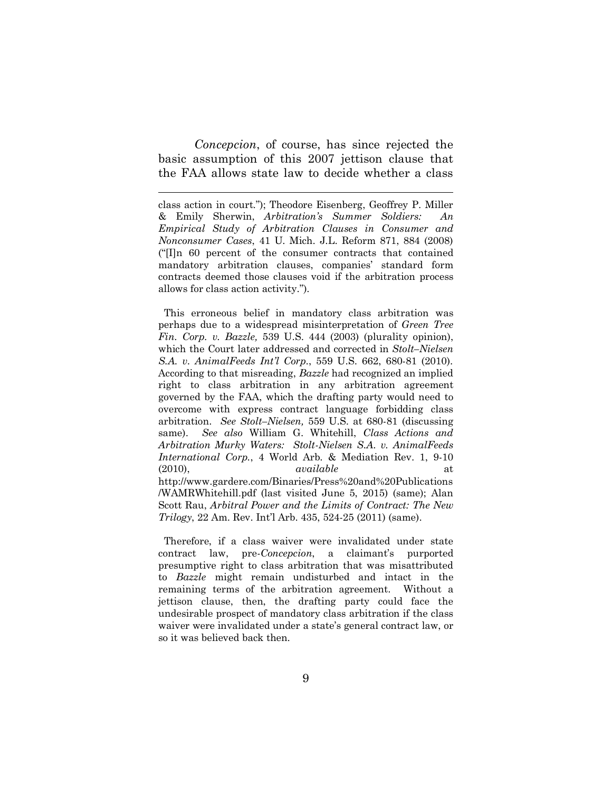*Concepcion*, of course, has since rejected the basic assumption of this 2007 jettison clause that the FAA allows state law to decide whether a class

 $\overline{a}$ 

class action in court."); Theodore Eisenberg, Geoffrey P. Miller & Emily Sherwin, *Arbitration's Summer Soldiers: An Empirical Study of Arbitration Clauses in Consumer and Nonconsumer Cases*, 41 U. Mich. J.L. Reform 871, 884 (2008) ("[I]n 60 percent of the consumer contracts that contained mandatory arbitration clauses, companies' standard form contracts deemed those clauses void if the arbitration process allows for class action activity.").

 This erroneous belief in mandatory class arbitration was perhaps due to a widespread misinterpretation of *Green Tree Fin. Corp. v. Bazzle,* 539 U.S. 444 (2003) (plurality opinion), which the Court later addressed and corrected in *Stolt–Nielsen S.A. v. AnimalFeeds Int'l Corp.*, 559 U.S. 662, 680-81 (2010). According to that misreading, *Bazzle* had recognized an implied right to class arbitration in any arbitration agreement governed by the FAA, which the drafting party would need to overcome with express contract language forbidding class arbitration. *See Stolt–Nielsen,* 559 U.S. at 680-81 (discussing same). *See also* William G. Whitehill, *Class Actions and Arbitration Murky Waters: Stolt-Nielsen S.A. v. AnimalFeeds International Corp.*, 4 World Arb. & Mediation Rev. 1, 9-10 (2010), *available* at http://www.gardere.com/Binaries/Press%20and%20Publications /WAMRWhitehill.pdf (last visited June 5, 2015) (same); Alan Scott Rau, *Arbitral Power and the Limits of Contract: The New Trilogy*, 22 Am. Rev. Int'l Arb. 435, 524-25 (2011) (same).

 Therefore, if a class waiver were invalidated under state contract law, pre-*Concepcion*, a claimant's purported presumptive right to class arbitration that was misattributed to *Bazzle* might remain undisturbed and intact in the remaining terms of the arbitration agreement. Without a jettison clause, then, the drafting party could face the undesirable prospect of mandatory class arbitration if the class waiver were invalidated under a state's general contract law, or so it was believed back then.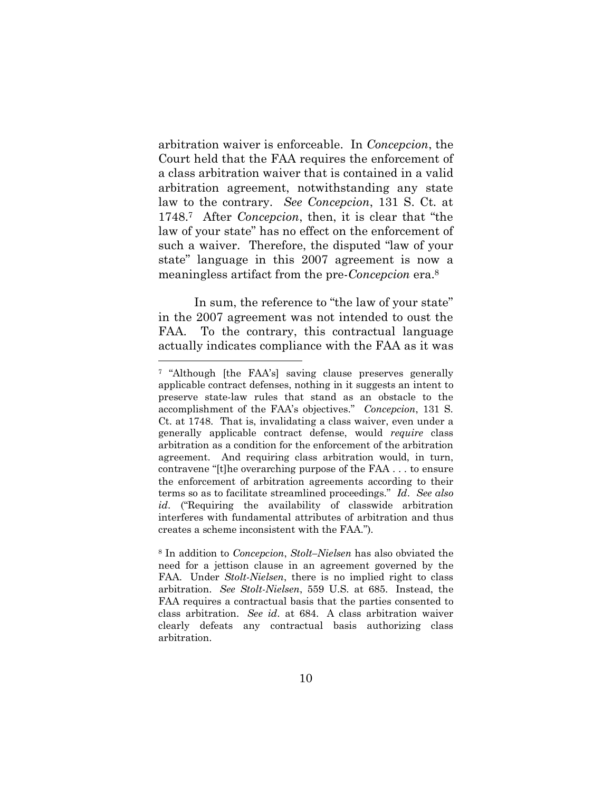arbitration waiver is enforceable. In *Concepcion*, the Court held that the FAA requires the enforcement of a class arbitration waiver that is contained in a valid arbitration agreement, notwithstanding any state law to the contrary. *See Concepcion*, 131 S. Ct. at 1748.7 After *Concepcion*, then, it is clear that "the law of your state" has no effect on the enforcement of such a waiver. Therefore, the disputed "law of your state" language in this 2007 agreement is now a meaningless artifact from the pre-*Concepcion* era.<sup>8</sup>

In sum, the reference to "the law of your state" in the 2007 agreement was not intended to oust the FAA. To the contrary, this contractual language actually indicates compliance with the FAA as it was

<sup>7</sup> "Although [the FAA's] saving clause preserves generally applicable contract defenses, nothing in it suggests an intent to preserve state-law rules that stand as an obstacle to the accomplishment of the FAA's objectives." *Concepcion*, 131 S. Ct. at 1748. That is, invalidating a class waiver, even under a generally applicable contract defense, would *require* class arbitration as a condition for the enforcement of the arbitration agreement. And requiring class arbitration would, in turn, contravene "[t]he overarching purpose of the FAA . . . to ensure the enforcement of arbitration agreements according to their terms so as to facilitate streamlined proceedings." *Id*. *See also id*. ("Requiring the availability of classwide arbitration interferes with fundamental attributes of arbitration and thus creates a scheme inconsistent with the FAA.").

<sup>8</sup> In addition to *Concepcion*, *Stolt–Nielsen* has also obviated the need for a jettison clause in an agreement governed by the FAA. Under *Stolt-Nielsen*, there is no implied right to class arbitration. *See Stolt-Nielsen*, 559 U.S. at 685. Instead, the FAA requires a contractual basis that the parties consented to class arbitration. *See id*. at 684. A class arbitration waiver clearly defeats any contractual basis authorizing class arbitration.